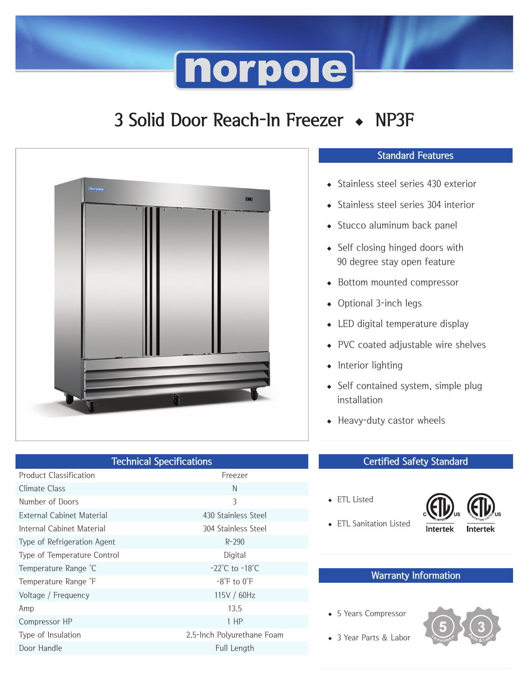## **norpole**

## 3 Solid Door Reach-In Freezer ◆ NP3F



| <b>Technical Specifications</b> |                                    |
|---------------------------------|------------------------------------|
| <b>Product Classification</b>   | Freezer                            |
| Climate Class                   | N                                  |
| Number of Doors                 | $\mathcal{E}$                      |
| External Cabinet Material       | 430 Stainless Steel                |
| Internal Cabinet Material       | 304 Stainless Steel                |
| Type of Refrigeration Agent     | $R - 290$                          |
| Type of Temperature Control     | Digital                            |
| Temperature Range °C            | $-22^{\circ}$ C to $-18^{\circ}$ C |
| Temperature Range F             | $-8^\circ$ F to $0^\circ$ F        |
| Voltage / Frequency             | 115V / 60Hz                        |
| Amp                             | 13.5                               |
| Compressor HP                   | $1$ HP                             |
| Type of Insulation              | 2.5-lnch Polyurethane Foam         |
| Door Handle                     | Full Length                        |
|                                 |                                    |

#### Standard Features

- ◆ Stainless steel series 430 exterior
- ◆ Stainless steel series 304 interior
- ◆ Stucco aluminum back panel
- ◆ Self closing hinged doors with 90 degree stay open feature
- ◆ Bottom mounted compressor
- ◆ Optional 3-inch legs
- ◆ LED digital temperature display
- ◆ PVC coated adjustable wire shelves
- ◆ Interior lighting
- ◆ Self contained system, simple plug installation
- ◆ Heavy-duty castor wheels

#### Certified Safety Standard

◆ ETL Listed



◆ ETL Sanitation Listed

#### Warranty Information

◆ 5 Years Compressor



◆ 3 Year Parts & Labor